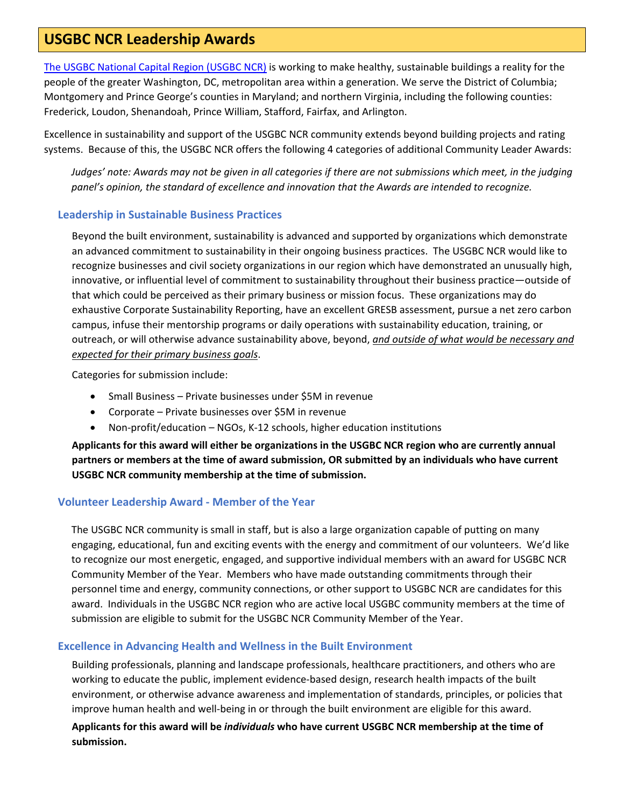# **USGBC NCR Leadership Awards**

The USGBC [National Capital Region \(USGBC NCR\)](http://www.usgbc.org/usgbc-national-capital-region) is working to make healthy, sustainable buildings a reality for the people of the greater Washington, DC, metropolitan area within a generation. We serve the District of Columbia; Montgomery and Prince George's counties in Maryland; and northern Virginia, including the following counties: Frederick, Loudon, Shenandoah, Prince William, Stafford, Fairfax, and Arlington.

Excellence in sustainability and support of the USGBC NCR community extends beyond building projects and rating systems. Because of this, the USGBC NCR offers the following 4 categories of additional Community Leader Awards:

*Judges' note: Awards may not be given in all categories if there are not submissions which meet, in the judging panel's opinion, the standard of excellence and innovation that the Awards are intended to recognize.*

## **Leadership in Sustainable Business Practices**

Beyond the built environment, sustainability is advanced and supported by organizations which demonstrate an advanced commitment to sustainability in their ongoing business practices. The USGBC NCR would like to recognize businesses and civil society organizations in our region which have demonstrated an unusually high, innovative, or influential level of commitment to sustainability throughout their business practice—outside of that which could be perceived as their primary business or mission focus. These organizations may do exhaustive Corporate Sustainability Reporting, have an excellent GRESB assessment, pursue a net zero carbon campus, infuse their mentorship programs or daily operations with sustainability education, training, or outreach, or will otherwise advance sustainability above, beyond, *and outside of what would be necessary and expected for their primary business goals*.

Categories for submission include:

- Small Business Private businesses under \$5M in revenue
- Corporate Private businesses over \$5M in revenue
- Non-profit/education NGOs, K-12 schools, higher education institutions

**Applicants for this award will either be organizations in the USGBC NCR region who are currently annual partners or members at the time of award submission, OR submitted by an individuals who have current USGBC NCR community membership at the time of submission.**

## **Volunteer Leadership Award - Member of the Year**

The USGBC NCR community is small in staff, but is also a large organization capable of putting on many engaging, educational, fun and exciting events with the energy and commitment of our volunteers. We'd like to recognize our most energetic, engaged, and supportive individual members with an award for USGBC NCR Community Member of the Year. Members who have made outstanding commitments through their personnel time and energy, community connections, or other support to USGBC NCR are candidates for this award. Individuals in the USGBC NCR region who are active local USGBC community members at the time of submission are eligible to submit for the USGBC NCR Community Member of the Year.

#### **Excellence in Advancing Health and Wellness in the Built Environment**

Building professionals, planning and landscape professionals, healthcare practitioners, and others who are working to educate the public, implement evidence-based design, research health impacts of the built environment, or otherwise advance awareness and implementation of standards, principles, or policies that improve human health and well-being in or through the built environment are eligible for this award.

## **Applicants for this award will be** *individuals* **who have current USGBC NCR membership at the time of submission.**